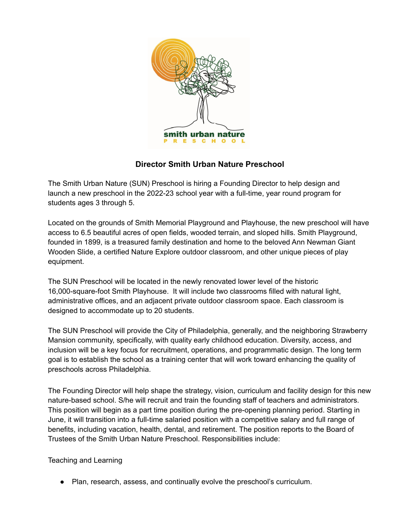

# **Director Smith Urban Nature Preschool**

The Smith Urban Nature (SUN) Preschool is hiring a Founding Director to help design and launch a new preschool in the 2022-23 school year with a full-time, year round program for students ages 3 through 5.

Located on the grounds of Smith Memorial Playground and Playhouse, the new preschool will have access to 6.5 beautiful acres of open fields, wooded terrain, and sloped hills. Smith Playground, founded in 1899, is a treasured family destination and home to the beloved Ann Newman Giant Wooden Slide, a certified Nature Explore outdoor classroom, and other unique pieces of play equipment.

The SUN Preschool will be located in the newly renovated lower level of the historic 16,000-square-foot Smith Playhouse. It will include two classrooms filled with natural light, administrative offices, and an adjacent private outdoor classroom space. Each classroom is designed to accommodate up to 20 students.

The SUN Preschool will provide the City of Philadelphia, generally, and the neighboring Strawberry Mansion community, specifically, with quality early childhood education. Diversity, access, and inclusion will be a key focus for recruitment, operations, and programmatic design. The long term goal is to establish the school as a training center that will work toward enhancing the quality of preschools across Philadelphia.

The Founding Director will help shape the strategy, vision, curriculum and facility design for this new nature-based school. S/he will recruit and train the founding staff of teachers and administrators. This position will begin as a part time position during the pre-opening planning period. Starting in June, it will transition into a full-time salaried position with a competitive salary and full range of benefits, including vacation, health, dental, and retirement. The position reports to the Board of Trustees of the Smith Urban Nature Preschool. Responsibilities include:

#### Teaching and Learning

● Plan, research, assess, and continually evolve the preschool's curriculum.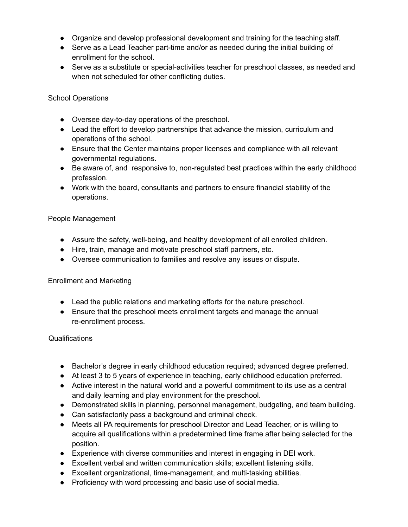- Organize and develop professional development and training for the teaching staff.
- Serve as a Lead Teacher part-time and/or as needed during the initial building of enrollment for the school.
- Serve as a substitute or special-activities teacher for preschool classes, as needed and when not scheduled for other conflicting duties.

School Operations

- Oversee day-to-day operations of the preschool.
- Lead the effort to develop partnerships that advance the mission, curriculum and operations of the school.
- Ensure that the Center maintains proper licenses and compliance with all relevant governmental regulations.
- Be aware of, and responsive to, non-regulated best practices within the early childhood profession.
- Work with the board, consultants and partners to ensure financial stability of the operations.

### People Management

- Assure the safety, well-being, and healthy development of all enrolled children.
- Hire, train, manage and motivate preschool staff partners, etc.
- Oversee communication to families and resolve any issues or dispute.

#### Enrollment and Marketing

- Lead the public relations and marketing efforts for the nature preschool.
- Ensure that the preschool meets enrollment targets and manage the annual re-enrollment process.

#### Qualifications

- Bachelor's degree in early childhood education required; advanced degree preferred.
- At least 3 to 5 years of experience in teaching, early childhood education preferred.
- Active interest in the natural world and a powerful commitment to its use as a central and daily learning and play environment for the preschool.
- Demonstrated skills in planning, personnel management, budgeting, and team building.
- Can satisfactorily pass a background and criminal check.
- Meets all PA requirements for preschool Director and Lead Teacher, or is willing to acquire all qualifications within a predetermined time frame after being selected for the position.
- Experience with diverse communities and interest in engaging in DEI work.
- Excellent verbal and written communication skills; excellent listening skills.
- Excellent organizational, time-management, and multi-tasking abilities.
- Proficiency with word processing and basic use of social media.